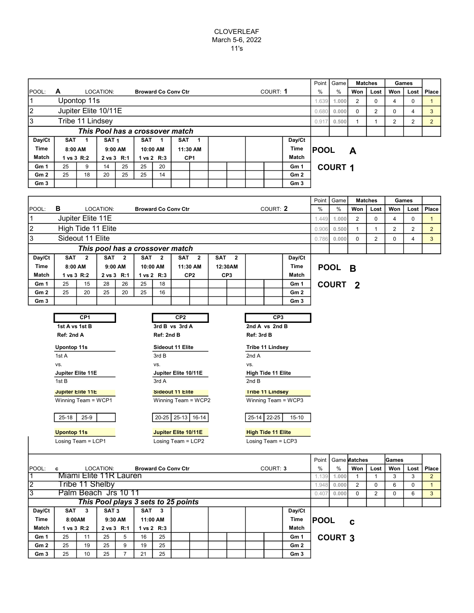## CLOVERLEAF March 5-6, 2022 11's

|                           |                    |                                                                      |                  |    |            |          |                                 |                  |  |       |   |      |                 |             |                | Point<br>Game<br><b>Matches</b> |                |   | Games    |   |  |
|---------------------------|--------------------|----------------------------------------------------------------------|------------------|----|------------|----------|---------------------------------|------------------|--|-------|---|------|-----------------|-------------|----------------|---------------------------------|----------------|---|----------|---|--|
| <b>IPOOL:</b>             | A                  |                                                                      | LOCATION:        |    |            |          | <b>Broward Co Conv Ctr</b>      |                  |  |       | % | $\%$ | Won             | Lost        | Won            | Lost                            | Place          |   |          |   |  |
| Upontop 11s<br>11         |                    |                                                                      |                  |    |            |          |                                 |                  |  |       |   |      |                 | 1.639       | 1.000          | 2                               | 0              | 4 | $\Omega$ |   |  |
| 2<br>Jupiter Elite 10/11E |                    |                                                                      |                  |    |            |          |                                 |                  |  |       |   |      |                 | 0.680       | 0.000          | $\Omega$                        | $\overline{2}$ | 0 | 4        | 3 |  |
| 3                         | Tribe 11 Lindsey   |                                                                      |                  |    |            |          |                                 |                  |  |       |   |      |                 |             | 0.500          |                                 |                | 2 | 2        |   |  |
|                           |                    |                                                                      |                  |    |            |          | This Pool has a crossover match |                  |  |       |   |      |                 |             |                |                                 |                |   |          |   |  |
| Day/Ct                    | <b>SAT</b>         |                                                                      | SAT <sub>1</sub> |    | <b>SAT</b> |          | <b>SAT</b>                      |                  |  |       |   |      | Day/Ct          |             |                |                                 |                |   |          |   |  |
| <b>Time</b>               | 8:00 AM<br>9:00 AM |                                                                      |                  |    |            | 10:00 AM |                                 | Time<br>11:30 AM |  |       |   |      |                 | <b>POOL</b> |                | A                               |                |   |          |   |  |
| Match                     |                    | CP <sub>1</sub><br>1 vs 3 R:2<br>2 vs 3 R:1<br>$1 \text{ vs } 2$ R:3 |                  |    |            |          |                                 |                  |  | Match |   |      |                 |             |                |                                 |                |   |          |   |  |
| Gm 1                      | 25                 | 9                                                                    | 14               | 25 | 25         | 20       |                                 |                  |  |       |   |      | Gm 1            |             | <b>COURT 1</b> |                                 |                |   |          |   |  |
| Gm <sub>2</sub>           | 25                 | 18                                                                   | 20               | 25 | 25         | 14       |                                 |                  |  |       |   |      | Gm <sub>2</sub> |             |                |                                 |                |   |          |   |  |
| Gm <sub>3</sub>           |                    |                                                                      |                  |    |            |          |                                 |                  |  |       |   |      | Gm <sub>3</sub> |             |                |                                 |                |   |          |   |  |

|                                                             |                                                                                                                                                                     |                                                     |            |    |                                     |       |                         |  |  |                 |                         |                           |                     |              | Point   Game       |             | <b>Matches</b> |                | Games          |                |
|-------------------------------------------------------------|---------------------------------------------------------------------------------------------------------------------------------------------------------------------|-----------------------------------------------------|------------|----|-------------------------------------|-------|-------------------------|--|--|-----------------|-------------------------|---------------------------|---------------------|--------------|--------------------|-------------|----------------|----------------|----------------|----------------|
| POOL:                                                       | в                                                                                                                                                                   | LOCATION:<br>COURT: 2<br><b>Broward Co Conv Ctr</b> |            |    |                                     |       |                         |  |  |                 |                         |                           |                     |              | %                  | Won         | Lost           | Won            | Lost           | Place          |
| $\vert$ 1                                                   |                                                                                                                                                                     | Jupiter Elite 11E                                   |            |    |                                     |       |                         |  |  |                 |                         |                           |                     | 1.449        | 1.000              | 2           | 0              | 4              | 0              | $\mathbf{1}$   |
| $\vert$ 2                                                   | High Tide 11 Elite                                                                                                                                                  |                                                     |            |    |                                     |       |                         |  |  |                 |                         |                           |                     |              | 0.500              | 1           | 1              | $\overline{2}$ | $\overline{2}$ | $\overline{2}$ |
| 3                                                           | Sideout 11 Elite                                                                                                                                                    |                                                     |            |    |                                     |       |                         |  |  |                 |                         |                           |                     | 0.786        | 0.000              | $\Omega$    | $\overline{2}$ | 0              | 4              | 3              |
|                                                             | This pool has a crossover match                                                                                                                                     |                                                     |            |    |                                     |       |                         |  |  |                 |                         |                           |                     |              |                    |             |                |                |                |                |
| Day/Ct                                                      | <b>SAT</b><br><b>SAT</b><br>$\overline{2}$<br><b>SAT</b><br>$\overline{2}$<br><b>SAT</b><br>$\overline{\mathbf{2}}$<br>$\overline{2}$<br>SAT <sub>2</sub><br>Day/Ct |                                                     |            |    |                                     |       |                         |  |  |                 |                         |                           |                     |              |                    |             |                |                |                |                |
| <b>Time</b>                                                 | <b>Time</b><br>8:00 AM<br>9:00 AM<br>10:00 AM<br>11:30 AM<br>12:30AM                                                                                                |                                                     |            |    |                                     |       |                         |  |  |                 |                         |                           | POOL B              |              |                    |             |                |                |                |                |
| Match                                                       | 1 vs 3 R:2                                                                                                                                                          |                                                     | 2 vs 3 R:1 |    | 1 vs 2 R:3                          |       | CP <sub>2</sub>         |  |  | CP <sub>3</sub> |                         |                           | <b>Match</b>        |              |                    |             |                |                |                |                |
| Gm 1                                                        | 25                                                                                                                                                                  | 15                                                  | 28         | 26 | 25                                  | 18    |                         |  |  |                 |                         |                           | Gm 1                |              | COURT <sub>2</sub> |             |                |                |                |                |
| Gm2                                                         | 25                                                                                                                                                                  | 20                                                  | 25         | 20 | 25                                  | 16    |                         |  |  |                 |                         |                           | Gm <sub>2</sub>     |              |                    |             |                |                |                |                |
| Gm <sub>3</sub>                                             |                                                                                                                                                                     |                                                     |            |    |                                     |       |                         |  |  |                 |                         |                           | Gm <sub>3</sub>     |              |                    |             |                |                |                |                |
|                                                             |                                                                                                                                                                     | CP1                                                 |            |    |                                     |       | CP <sub>2</sub>         |  |  |                 |                         | CP <sub>3</sub>           |                     |              |                    |             |                |                |                |                |
|                                                             |                                                                                                                                                                     |                                                     |            |    |                                     |       |                         |  |  |                 |                         |                           |                     |              |                    |             |                |                |                |                |
|                                                             | 2nd A vs 2nd B<br>1st A vs 1st B<br>3rd B vs 3rd A<br>Ref: 2nd A<br>Ref: 2nd B<br>Ref: 3rd B                                                                        |                                                     |            |    |                                     |       |                         |  |  |                 |                         |                           |                     |              |                    |             |                |                |                |                |
|                                                             |                                                                                                                                                                     |                                                     |            |    |                                     |       |                         |  |  |                 |                         |                           |                     |              |                    |             |                |                |                |                |
|                                                             | <b>Upontop 11s</b>                                                                                                                                                  |                                                     |            |    |                                     |       | Sideout 11 Elite        |  |  |                 |                         | <b>Tribe 11 Lindsey</b>   |                     |              |                    |             |                |                |                |                |
|                                                             | 1st A                                                                                                                                                               |                                                     |            |    |                                     | 3rd B |                         |  |  |                 | 2nd A                   |                           |                     |              |                    |             |                |                |                |                |
|                                                             | VS.                                                                                                                                                                 |                                                     |            |    |                                     | VS.   |                         |  |  |                 | VS.                     |                           |                     |              |                    |             |                |                |                |                |
|                                                             | Jupiter Elite 11E                                                                                                                                                   |                                                     |            |    |                                     | 3rd A | Jupiter Elite 10/11E    |  |  |                 |                         | High Tide 11 Elite        |                     |              |                    |             |                |                |                |                |
|                                                             | 1st B                                                                                                                                                               |                                                     |            |    |                                     |       |                         |  |  |                 | 2nd B                   |                           |                     |              |                    |             |                |                |                |                |
|                                                             | <b>Jupiter Elite 11E</b>                                                                                                                                            |                                                     |            |    |                                     |       | <b>Sideout 11 Elite</b> |  |  |                 | <b>Tribe 11 Lindsey</b> |                           |                     |              |                    |             |                |                |                |                |
|                                                             | Winning Team = WCP1                                                                                                                                                 |                                                     |            |    |                                     |       | Winning Team = WCP2     |  |  |                 |                         |                           | Winning Team = WCP3 |              |                    |             |                |                |                |                |
|                                                             | $25 - 18$                                                                                                                                                           | $25-9$                                              |            |    |                                     |       | 20-25   25-13   16-14   |  |  |                 |                         | 25-14 22-25               | $15 - 10$           |              |                    |             |                |                |                |                |
|                                                             |                                                                                                                                                                     |                                                     |            |    |                                     |       |                         |  |  |                 |                         |                           |                     |              |                    |             |                |                |                |                |
|                                                             | <b>Upontop 11s</b>                                                                                                                                                  |                                                     |            |    |                                     |       | Jupiter Elite 10/11E    |  |  |                 |                         | <b>High Tide 11 Elite</b> |                     |              |                    |             |                |                |                |                |
|                                                             | Losing Team = LCP2<br>Losing Team = LCP1<br>Losing Team = LCP3                                                                                                      |                                                     |            |    |                                     |       |                         |  |  |                 |                         |                           |                     |              |                    |             |                |                |                |                |
|                                                             |                                                                                                                                                                     |                                                     |            |    |                                     |       |                         |  |  |                 |                         |                           |                     |              |                    |             |                |                |                |                |
|                                                             |                                                                                                                                                                     |                                                     |            |    |                                     |       |                         |  |  |                 |                         |                           | Point               |              | Game Matches       |             | lGames         |                |                |                |
| POOL:                                                       | c                                                                                                                                                                   | LOCATION:<br><b>Broward Co Conv Ctr</b><br>COURT: 3 |            |    |                                     |       |                         |  |  |                 |                         | %                         | %                   | Won          | Lost               | Won         | Lost           | Place          |                |                |
| Miami Elite 11R Lauren<br>$\overline{1}$<br>Tribe 11 Shelby |                                                                                                                                                                     |                                                     |            |    |                                     |       |                         |  |  |                 |                         | 1.139                     | 1.000               | $\mathbf{1}$ | $\mathbf{1}$       | 3           | 3              | $\overline{2}$ |                |                |
| $\overline{2}$                                              |                                                                                                                                                                     |                                                     |            |    |                                     |       |                         |  |  |                 |                         |                           |                     | 1.948        | 0.000              | 2           | $\mathbf 0$    | 6              | $\Omega$       | $\mathbf{1}$   |
| $\overline{3}$                                              |                                                                                                                                                                     | Palm Beach Jrs 10 11                                |            |    |                                     |       |                         |  |  |                 |                         |                           |                     | 0.407        | 0.000              | $\mathbf 0$ | 2              | 0              | 6              | 3              |
|                                                             |                                                                                                                                                                     |                                                     |            |    | This Pool plays 3 sets to 25 points |       |                         |  |  |                 |                         |                           |                     |              |                    |             |                |                |                |                |

|                |                 |  |  |                       |            |            | This Fool plays <b>5</b> sets to 25 points |            |        |                 |  |  |  |  |  |  |  |  |  |  |  |
|----------------|-----------------|--|--|-----------------------|------------|------------|--------------------------------------------|------------|--------|-----------------|--|--|--|--|--|--|--|--|--|--|--|
|                | Day/Ct          |  |  | 3                     | <b>SAT</b> |            | SAT <sub>3</sub>                           | 3          | SAT    | Day/Ct          |  |  |  |  |  |  |  |  |  |  |  |
| <b>IPOOL</b>   | <b>Time</b>     |  |  | 11:00 AM              |            | 9:30 AM    |                                            |            | 8:00AM | <b>Time</b>     |  |  |  |  |  |  |  |  |  |  |  |
|                | Match           |  |  | $1 \text{ vs } 2$ R:3 |            | 2 vs 3 R:1 |                                            | 1 vs 3 R:2 |        | Match           |  |  |  |  |  |  |  |  |  |  |  |
| <b>COURT 3</b> | Gm 1            |  |  | 25                    | 16         | 5          | 25                                         | 11         | 25     | Gm 1            |  |  |  |  |  |  |  |  |  |  |  |
|                | Gm2             |  |  | 25                    | 19         | 9          | 25                                         | 19         | 25     | Gm2             |  |  |  |  |  |  |  |  |  |  |  |
|                | Gm <sub>3</sub> |  |  | 25                    | 21         |            | 25                                         | 10         | 25     | Gm <sub>3</sub> |  |  |  |  |  |  |  |  |  |  |  |